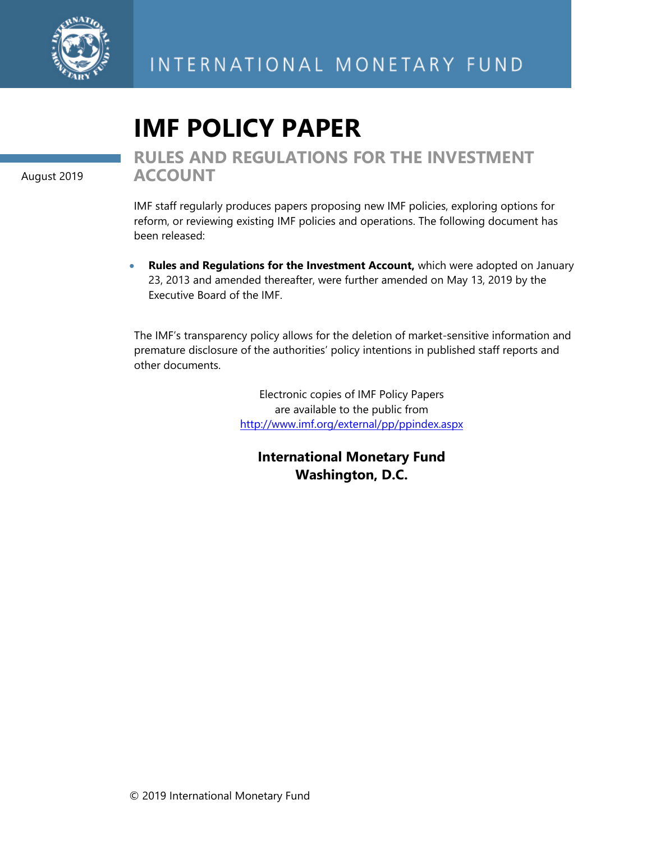

# **IMF POLICY PAPER**

August 2019

**RULES AND REGULATIONS FOR THE INVESTMENT ACCOUNT** 

IMF staff regularly produces papers proposing new IMF policies, exploring options for reform, or reviewing existing IMF policies and operations. The following document has been released:

 **Rules and Regulations for the Investment Account,** which were adopted on January 23, 2013 and amended thereafter, were further amended on May 13, 2019 by the Executive Board of the IMF.

The IMF's transparency policy allows for the deletion of market-sensitive information and premature disclosure of the authorities' policy intentions in published staff reports and other documents.

> Electronic copies of IMF Policy Papers are available to the public from http://www.imf.org/external/pp/ppindex.aspx

**International Monetary Fund Washington, D.C.**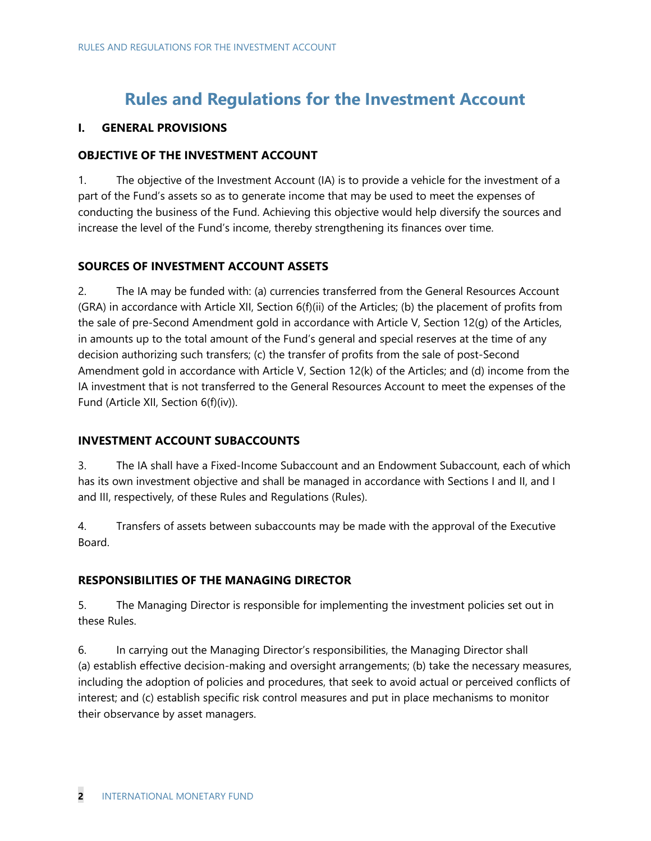# **Rules and Regulations for the Investment Account**

# **I. GENERAL PROVISIONS**

# **OBJECTIVE OF THE INVESTMENT ACCOUNT**

1. The objective of the Investment Account (IA) is to provide a vehicle for the investment of a part of the Fund's assets so as to generate income that may be used to meet the expenses of conducting the business of the Fund. Achieving this objective would help diversify the sources and increase the level of the Fund's income, thereby strengthening its finances over time.

# **SOURCES OF INVESTMENT ACCOUNT ASSETS**

2. The IA may be funded with: (a) currencies transferred from the General Resources Account (GRA) in accordance with Article XII, Section 6(f)(ii) of the Articles; (b) the placement of profits from the sale of pre-Second Amendment gold in accordance with Article V, Section 12(g) of the Articles, in amounts up to the total amount of the Fund's general and special reserves at the time of any decision authorizing such transfers; (c) the transfer of profits from the sale of post-Second Amendment gold in accordance with Article V, Section 12(k) of the Articles; and (d) income from the IA investment that is not transferred to the General Resources Account to meet the expenses of the Fund (Article XII, Section 6(f)(iv)).

# **INVESTMENT ACCOUNT SUBACCOUNTS**

3. The IA shall have a Fixed-Income Subaccount and an Endowment Subaccount, each of which has its own investment objective and shall be managed in accordance with Sections I and II, and I and III, respectively, of these Rules and Regulations (Rules).

4. Transfers of assets between subaccounts may be made with the approval of the Executive Board.

# **RESPONSIBILITIES OF THE MANAGING DIRECTOR**

5. The Managing Director is responsible for implementing the investment policies set out in these Rules.

6. In carrying out the Managing Director's responsibilities, the Managing Director shall (a) establish effective decision-making and oversight arrangements; (b) take the necessary measures, including the adoption of policies and procedures, that seek to avoid actual or perceived conflicts of interest; and (c) establish specific risk control measures and put in place mechanisms to monitor their observance by asset managers.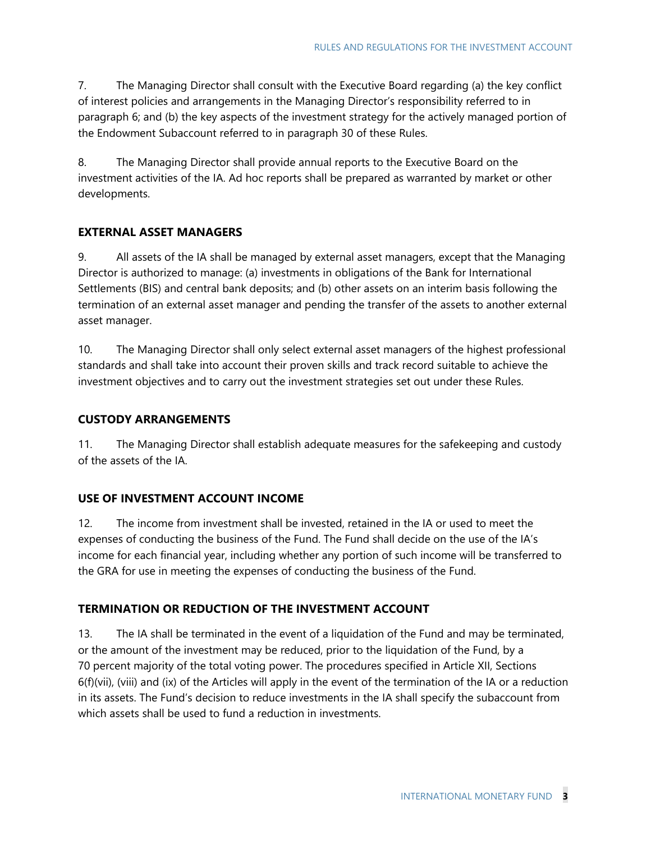7. The Managing Director shall consult with the Executive Board regarding (a) the key conflict of interest policies and arrangements in the Managing Director's responsibility referred to in paragraph 6; and (b) the key aspects of the investment strategy for the actively managed portion of the Endowment Subaccount referred to in paragraph 30 of these Rules.

8. The Managing Director shall provide annual reports to the Executive Board on the investment activities of the IA. Ad hoc reports shall be prepared as warranted by market or other developments.

# **EXTERNAL ASSET MANAGERS**

9. All assets of the IA shall be managed by external asset managers, except that the Managing Director is authorized to manage: (a) investments in obligations of the Bank for International Settlements (BIS) and central bank deposits; and (b) other assets on an interim basis following the termination of an external asset manager and pending the transfer of the assets to another external asset manager.

10. The Managing Director shall only select external asset managers of the highest professional standards and shall take into account their proven skills and track record suitable to achieve the investment objectives and to carry out the investment strategies set out under these Rules.

# **CUSTODY ARRANGEMENTS**

11. The Managing Director shall establish adequate measures for the safekeeping and custody of the assets of the IA.

# **USE OF INVESTMENT ACCOUNT INCOME**

12. The income from investment shall be invested, retained in the IA or used to meet the expenses of conducting the business of the Fund. The Fund shall decide on the use of the IA's income for each financial year, including whether any portion of such income will be transferred to the GRA for use in meeting the expenses of conducting the business of the Fund.

# **TERMINATION OR REDUCTION OF THE INVESTMENT ACCOUNT**

13. The IA shall be terminated in the event of a liquidation of the Fund and may be terminated, or the amount of the investment may be reduced, prior to the liquidation of the Fund, by a 70 percent majority of the total voting power. The procedures specified in Article XII, Sections 6(f)(vii), (viii) and (ix) of the Articles will apply in the event of the termination of the IA or a reduction in its assets. The Fund's decision to reduce investments in the IA shall specify the subaccount from which assets shall be used to fund a reduction in investments.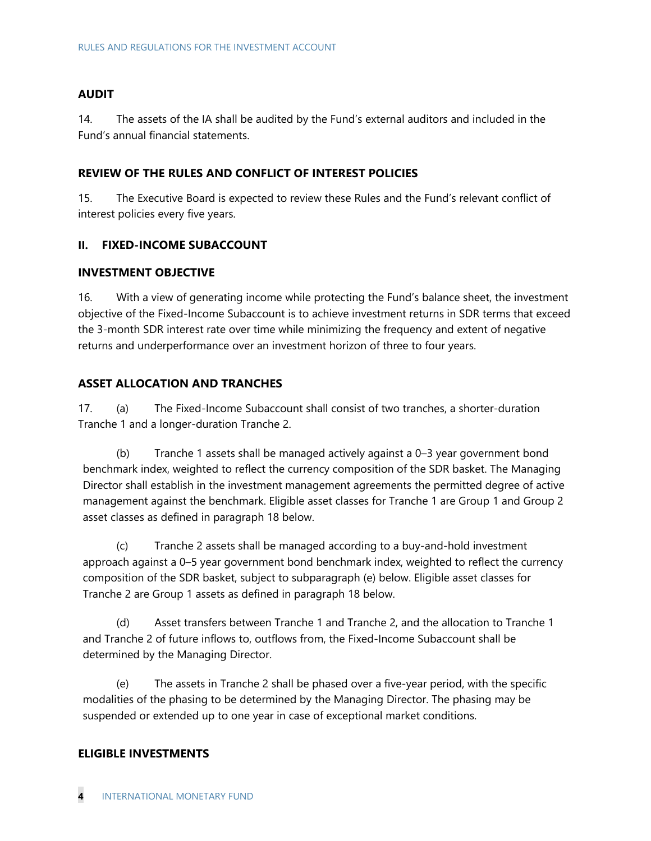#### **AUDIT**

14. The assets of the IA shall be audited by the Fund's external auditors and included in the Fund's annual financial statements.

#### **REVIEW OF THE RULES AND CONFLICT OF INTEREST POLICIES**

15. The Executive Board is expected to review these Rules and the Fund's relevant conflict of interest policies every five years.

#### **II. FIXED-INCOME SUBACCOUNT**

#### **INVESTMENT OBJECTIVE**

16. With a view of generating income while protecting the Fund's balance sheet, the investment objective of the Fixed-Income Subaccount is to achieve investment returns in SDR terms that exceed the 3-month SDR interest rate over time while minimizing the frequency and extent of negative returns and underperformance over an investment horizon of three to four years.

#### **ASSET ALLOCATION AND TRANCHES**

17. (a) The Fixed-Income Subaccount shall consist of two tranches, a shorter-duration Tranche 1 and a longer-duration Tranche 2.

(b) Tranche 1 assets shall be managed actively against a 0–3 year government bond benchmark index, weighted to reflect the currency composition of the SDR basket. The Managing Director shall establish in the investment management agreements the permitted degree of active management against the benchmark. Eligible asset classes for Tranche 1 are Group 1 and Group 2 asset classes as defined in paragraph 18 below.

(c) Tranche 2 assets shall be managed according to a buy-and-hold investment approach against a 0–5 year government bond benchmark index, weighted to reflect the currency composition of the SDR basket, subject to subparagraph (e) below. Eligible asset classes for Tranche 2 are Group 1 assets as defined in paragraph 18 below.

(d) Asset transfers between Tranche 1 and Tranche 2, and the allocation to Tranche 1 and Tranche 2 of future inflows to, outflows from, the Fixed-Income Subaccount shall be determined by the Managing Director.

(e) The assets in Tranche 2 shall be phased over a five-year period, with the specific modalities of the phasing to be determined by the Managing Director. The phasing may be suspended or extended up to one year in case of exceptional market conditions.

#### **ELIGIBLE INVESTMENTS**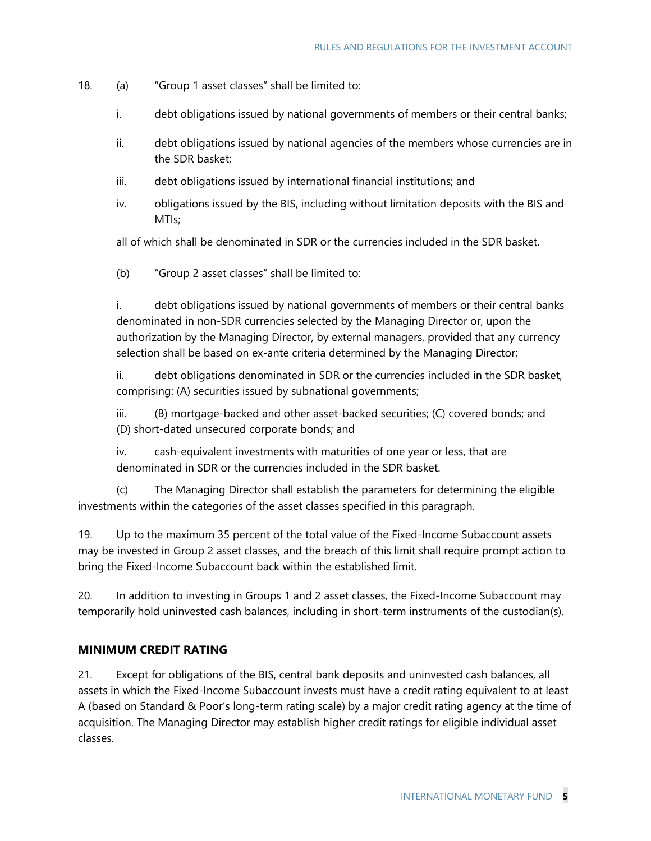- 18. (a) "Group 1 asset classes" shall be limited to:
	- i. debt obligations issued by national governments of members or their central banks;
	- ii. debt obligations issued by national agencies of the members whose currencies are in the SDR basket;
	- iii. debt obligations issued by international financial institutions; and
	- iv. obligations issued by the BIS, including without limitation deposits with the BIS and MTIs;

all of which shall be denominated in SDR or the currencies included in the SDR basket.

(b) "Group 2 asset classes" shall be limited to:

i. debt obligations issued by national governments of members or their central banks denominated in non-SDR currencies selected by the Managing Director or, upon the authorization by the Managing Director, by external managers, provided that any currency selection shall be based on ex-ante criteria determined by the Managing Director;

ii. debt obligations denominated in SDR or the currencies included in the SDR basket, comprising: (A) securities issued by subnational governments;

iii. (B) mortgage-backed and other asset-backed securities; (C) covered bonds; and (D) short-dated unsecured corporate bonds; and

iv. cash-equivalent investments with maturities of one year or less, that are denominated in SDR or the currencies included in the SDR basket.

(c) The Managing Director shall establish the parameters for determining the eligible investments within the categories of the asset classes specified in this paragraph.

19. Up to the maximum 35 percent of the total value of the Fixed-Income Subaccount assets may be invested in Group 2 asset classes, and the breach of this limit shall require prompt action to bring the Fixed-Income Subaccount back within the established limit.

20. In addition to investing in Groups 1 and 2 asset classes, the Fixed-Income Subaccount may temporarily hold uninvested cash balances, including in short-term instruments of the custodian(s).

#### **MINIMUM CREDIT RATING**

21. Except for obligations of the BIS, central bank deposits and uninvested cash balances, all assets in which the Fixed-Income Subaccount invests must have a credit rating equivalent to at least A (based on Standard & Poor's long-term rating scale) by a major credit rating agency at the time of acquisition. The Managing Director may establish higher credit ratings for eligible individual asset classes.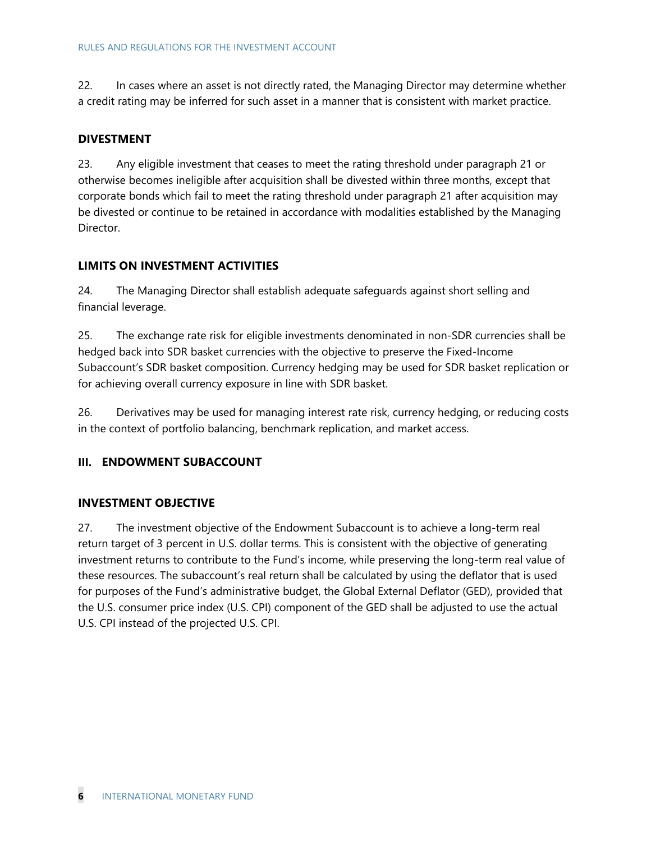22. In cases where an asset is not directly rated, the Managing Director may determine whether a credit rating may be inferred for such asset in a manner that is consistent with market practice.

#### **DIVESTMENT**

23. Any eligible investment that ceases to meet the rating threshold under paragraph 21 or otherwise becomes ineligible after acquisition shall be divested within three months, except that corporate bonds which fail to meet the rating threshold under paragraph 21 after acquisition may be divested or continue to be retained in accordance with modalities established by the Managing Director.

#### **LIMITS ON INVESTMENT ACTIVITIES**

24. The Managing Director shall establish adequate safeguards against short selling and financial leverage.

25. The exchange rate risk for eligible investments denominated in non-SDR currencies shall be hedged back into SDR basket currencies with the objective to preserve the Fixed-Income Subaccount's SDR basket composition. Currency hedging may be used for SDR basket replication or for achieving overall currency exposure in line with SDR basket.

26. Derivatives may be used for managing interest rate risk, currency hedging, or reducing costs in the context of portfolio balancing, benchmark replication, and market access.

# **III. ENDOWMENT SUBACCOUNT**

#### **INVESTMENT OBJECTIVE**

27. The investment objective of the Endowment Subaccount is to achieve a long-term real return target of 3 percent in U.S. dollar terms. This is consistent with the objective of generating investment returns to contribute to the Fund's income, while preserving the long-term real value of these resources. The subaccount's real return shall be calculated by using the deflator that is used for purposes of the Fund's administrative budget, the Global External Deflator (GED), provided that the U.S. consumer price index (U.S. CPI) component of the GED shall be adjusted to use the actual U.S. CPI instead of the projected U.S. CPI.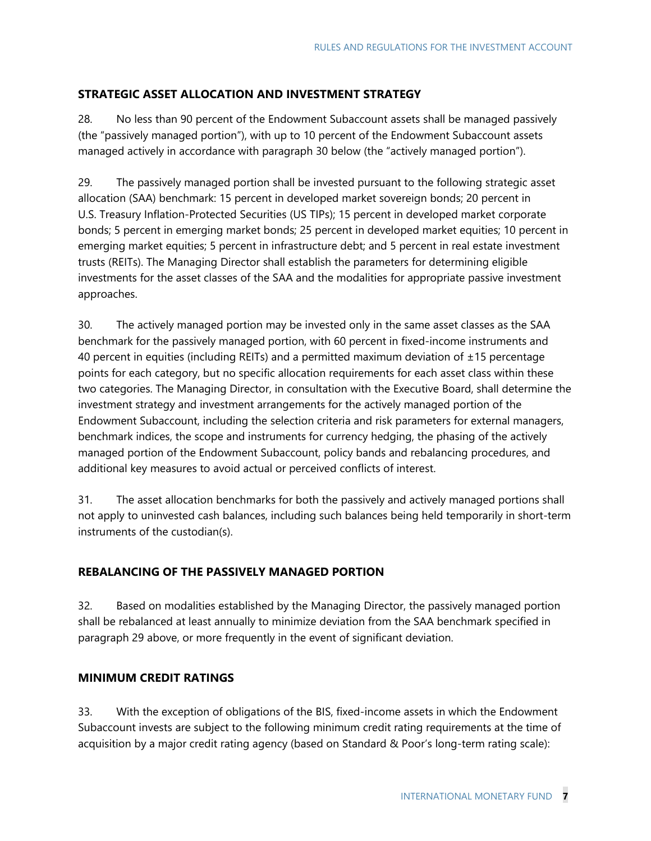# **STRATEGIC ASSET ALLOCATION AND INVESTMENT STRATEGY**

28. No less than 90 percent of the Endowment Subaccount assets shall be managed passively (the "passively managed portion"), with up to 10 percent of the Endowment Subaccount assets managed actively in accordance with paragraph 30 below (the "actively managed portion").

29. The passively managed portion shall be invested pursuant to the following strategic asset allocation (SAA) benchmark: 15 percent in developed market sovereign bonds; 20 percent in U.S. Treasury Inflation-Protected Securities (US TIPs); 15 percent in developed market corporate bonds; 5 percent in emerging market bonds; 25 percent in developed market equities; 10 percent in emerging market equities; 5 percent in infrastructure debt; and 5 percent in real estate investment trusts (REITs). The Managing Director shall establish the parameters for determining eligible investments for the asset classes of the SAA and the modalities for appropriate passive investment approaches.

30. The actively managed portion may be invested only in the same asset classes as the SAA benchmark for the passively managed portion, with 60 percent in fixed-income instruments and 40 percent in equities (including REITs) and a permitted maximum deviation of  $\pm 15$  percentage points for each category, but no specific allocation requirements for each asset class within these two categories. The Managing Director, in consultation with the Executive Board, shall determine the investment strategy and investment arrangements for the actively managed portion of the Endowment Subaccount, including the selection criteria and risk parameters for external managers, benchmark indices, the scope and instruments for currency hedging, the phasing of the actively managed portion of the Endowment Subaccount, policy bands and rebalancing procedures, and additional key measures to avoid actual or perceived conflicts of interest.

31. The asset allocation benchmarks for both the passively and actively managed portions shall not apply to uninvested cash balances, including such balances being held temporarily in short-term instruments of the custodian(s).

# **REBALANCING OF THE PASSIVELY MANAGED PORTION**

32. Based on modalities established by the Managing Director, the passively managed portion shall be rebalanced at least annually to minimize deviation from the SAA benchmark specified in paragraph 29 above, or more frequently in the event of significant deviation.

# **MINIMUM CREDIT RATINGS**

33. With the exception of obligations of the BIS, fixed-income assets in which the Endowment Subaccount invests are subject to the following minimum credit rating requirements at the time of acquisition by a major credit rating agency (based on Standard & Poor's long-term rating scale):